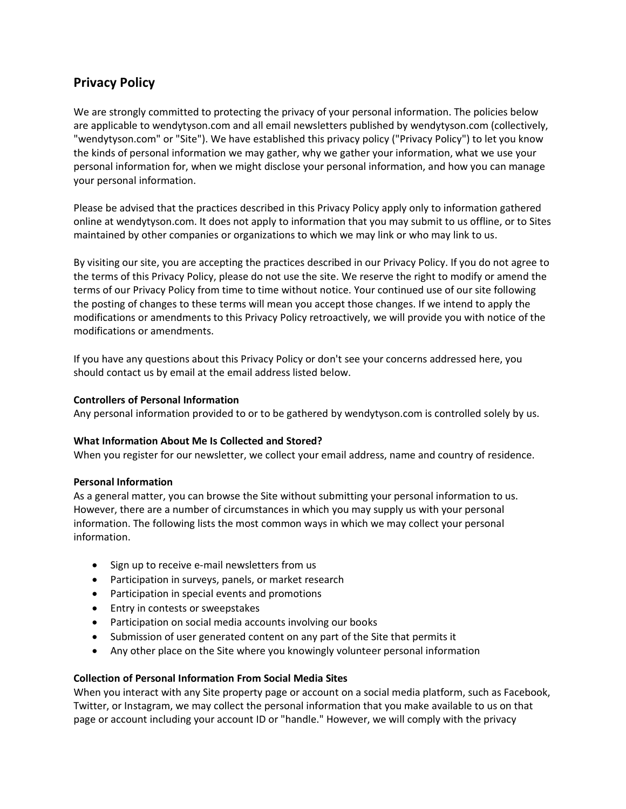# **Privacy Policy**

We are strongly committed to protecting the privacy of your personal information. The policies below are applicable to wendytyson.com and all email newsletters published by wendytyson.com (collectively, "wendytyson.com" or "Site"). We have established this privacy policy ("Privacy Policy") to let you know the kinds of personal information we may gather, why we gather your information, what we use your personal information for, when we might disclose your personal information, and how you can manage your personal information.

Please be advised that the practices described in this Privacy Policy apply only to information gathered online at wendytyson.com. It does not apply to information that you may submit to us offline, or to Sites maintained by other companies or organizations to which we may link or who may link to us.

By visiting our site, you are accepting the practices described in our Privacy Policy. If you do not agree to the terms of this Privacy Policy, please do not use the site. We reserve the right to modify or amend the terms of our Privacy Policy from time to time without notice. Your continued use of our site following the posting of changes to these terms will mean you accept those changes. If we intend to apply the modifications or amendments to this Privacy Policy retroactively, we will provide you with notice of the modifications or amendments.

If you have any questions about this Privacy Policy or don't see your concerns addressed here, you should contact us by email at the email address listed below.

# **Controllers of Personal Information**

Any personal information provided to or to be gathered by wendytyson.com is controlled solely by us.

#### **What Information About Me Is Collected and Stored?**

When you register for our newsletter, we collect your email address, name and country of residence.

#### **Personal Information**

As a general matter, you can browse the Site without submitting your personal information to us. However, there are a number of circumstances in which you may supply us with your personal information. The following lists the most common ways in which we may collect your personal information.

- Sign up to receive e-mail newsletters from us
- Participation in surveys, panels, or market research
- Participation in special events and promotions
- Entry in contests or sweepstakes
- Participation on social media accounts involving our books
- Submission of user generated content on any part of the Site that permits it
- Any other place on the Site where you knowingly volunteer personal information

#### **Collection of Personal Information From Social Media Sites**

When you interact with any Site property page or account on a social media platform, such as Facebook, Twitter, or Instagram, we may collect the personal information that you make available to us on that page or account including your account ID or "handle." However, we will comply with the privacy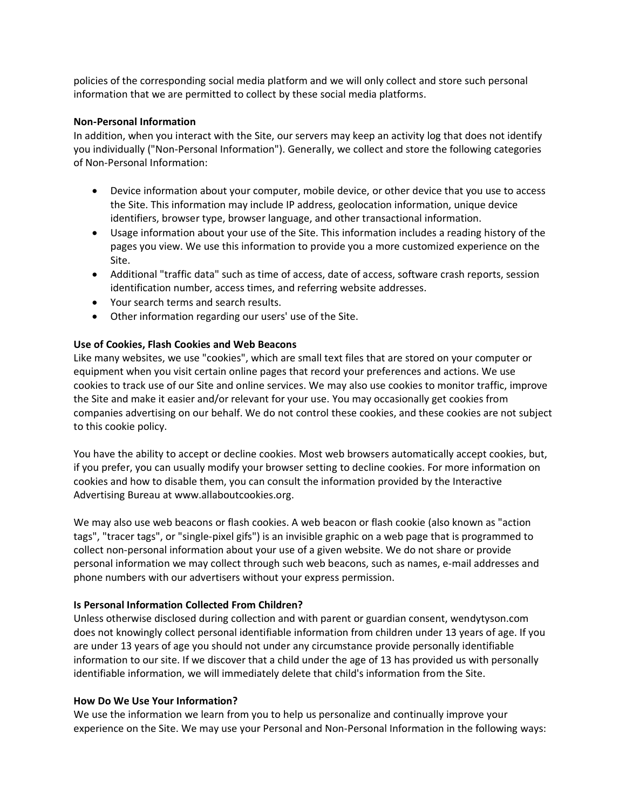policies of the corresponding social media platform and we will only collect and store such personal information that we are permitted to collect by these social media platforms.

#### **Non-Personal Information**

In addition, when you interact with the Site, our servers may keep an activity log that does not identify you individually ("Non-Personal Information"). Generally, we collect and store the following categories of Non-Personal Information:

- Device information about your computer, mobile device, or other device that you use to access the Site. This information may include IP address, geolocation information, unique device identifiers, browser type, browser language, and other transactional information.
- Usage information about your use of the Site. This information includes a reading history of the pages you view. We use this information to provide you a more customized experience on the Site.
- Additional "traffic data" such as time of access, date of access, software crash reports, session identification number, access times, and referring website addresses.
- Your search terms and search results.
- Other information regarding our users' use of the Site.

## **Use of Cookies, Flash Cookies and Web Beacons**

Like many websites, we use "cookies", which are small text files that are stored on your computer or equipment when you visit certain online pages that record your preferences and actions. We use cookies to track use of our Site and online services. We may also use cookies to monitor traffic, improve the Site and make it easier and/or relevant for your use. You may occasionally get cookies from companies advertising on our behalf. We do not control these cookies, and these cookies are not subject to this cookie policy.

You have the ability to accept or decline cookies. Most web browsers automatically accept cookies, but, if you prefer, you can usually modify your browser setting to decline cookies. For more information on cookies and how to disable them, you can consult the information provided by the Interactive Advertising Bureau at www.allaboutcookies.org.

We may also use web beacons or flash cookies. A web beacon or flash cookie (also known as "action tags", "tracer tags", or "single-pixel gifs") is an invisible graphic on a web page that is programmed to collect non-personal information about your use of a given website. We do not share or provide personal information we may collect through such web beacons, such as names, e-mail addresses and phone numbers with our advertisers without your express permission.

## **Is Personal Information Collected From Children?**

Unless otherwise disclosed during collection and with parent or guardian consent, wendytyson.com does not knowingly collect personal identifiable information from children under 13 years of age. If you are under 13 years of age you should not under any circumstance provide personally identifiable information to our site. If we discover that a child under the age of 13 has provided us with personally identifiable information, we will immediately delete that child's information from the Site.

## **How Do We Use Your Information?**

We use the information we learn from you to help us personalize and continually improve your experience on the Site. We may use your Personal and Non-Personal Information in the following ways: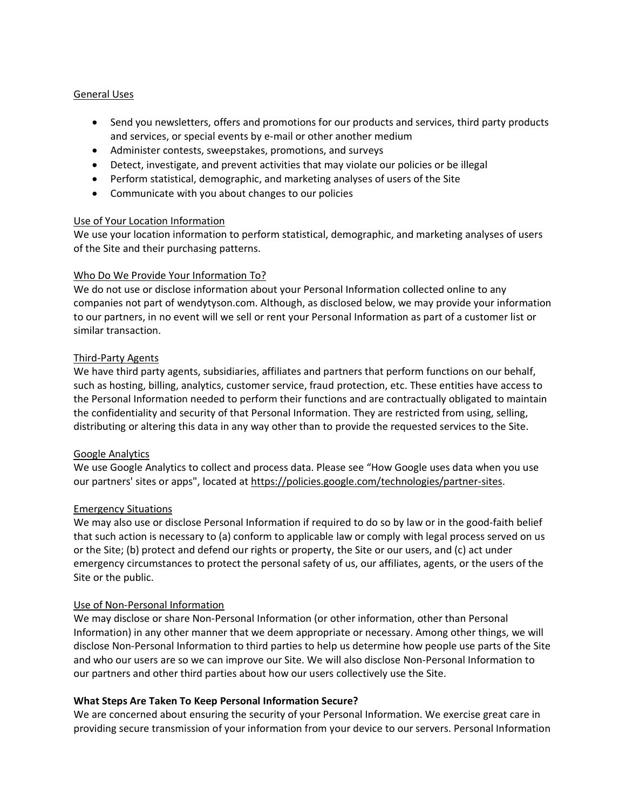## General Uses

- Send you newsletters, offers and promotions for our products and services, third party products and services, or special events by e-mail or other another medium
- Administer contests, sweepstakes, promotions, and surveys
- Detect, investigate, and prevent activities that may violate our policies or be illegal
- Perform statistical, demographic, and marketing analyses of users of the Site
- Communicate with you about changes to our policies

## Use of Your Location Information

We use your location information to perform statistical, demographic, and marketing analyses of users of the Site and their purchasing patterns.

## Who Do We Provide Your Information To?

We do not use or disclose information about your Personal Information collected online to any companies not part of wendytyson.com. Although, as disclosed below, we may provide your information to our partners, in no event will we sell or rent your Personal Information as part of a customer list or similar transaction.

## Third-Party Agents

We have third party agents, subsidiaries, affiliates and partners that perform functions on our behalf, such as hosting, billing, analytics, customer service, fraud protection, etc. These entities have access to the Personal Information needed to perform their functions and are contractually obligated to maintain the confidentiality and security of that Personal Information. They are restricted from using, selling, distributing or altering this data in any way other than to provide the requested services to the Site.

## Google Analytics

We use Google Analytics to collect and process data. Please see "How Google uses data when you use our partners' sites or apps", located at [https://policies.google.com/technologies/partner-sites.](https://policies.google.com/technologies/partner-sites)

#### Emergency Situations

We may also use or disclose Personal Information if required to do so by law or in the good-faith belief that such action is necessary to (a) conform to applicable law or comply with legal process served on us or the Site; (b) protect and defend our rights or property, the Site or our users, and (c) act under emergency circumstances to protect the personal safety of us, our affiliates, agents, or the users of the Site or the public.

#### Use of Non-Personal Information

We may disclose or share Non-Personal Information (or other information, other than Personal Information) in any other manner that we deem appropriate or necessary. Among other things, we will disclose Non-Personal Information to third parties to help us determine how people use parts of the Site and who our users are so we can improve our Site. We will also disclose Non-Personal Information to our partners and other third parties about how our users collectively use the Site.

## **What Steps Are Taken To Keep Personal Information Secure?**

We are concerned about ensuring the security of your Personal Information. We exercise great care in providing secure transmission of your information from your device to our servers. Personal Information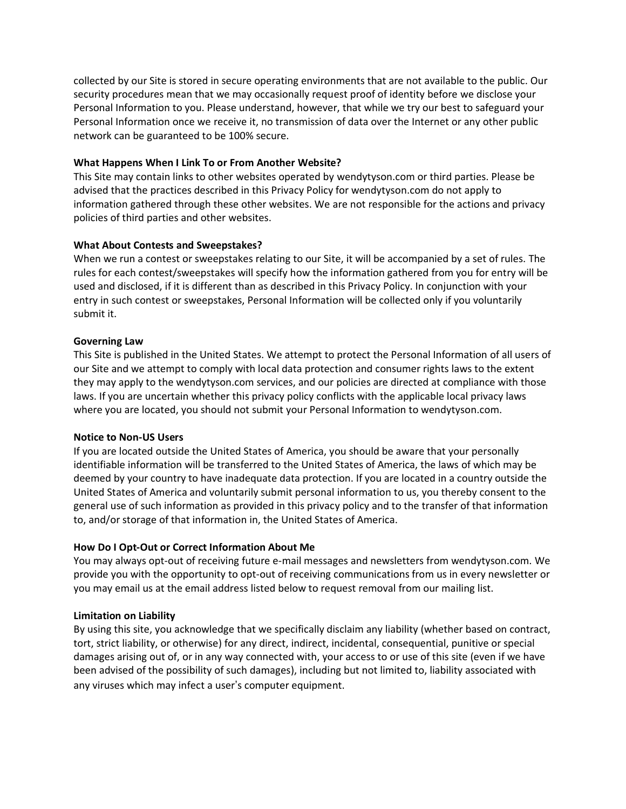collected by our Site is stored in secure operating environments that are not available to the public. Our security procedures mean that we may occasionally request proof of identity before we disclose your Personal Information to you. Please understand, however, that while we try our best to safeguard your Personal Information once we receive it, no transmission of data over the Internet or any other public network can be guaranteed to be 100% secure.

## **What Happens When I Link To or From Another Website?**

This Site may contain links to other websites operated by wendytyson.com or third parties. Please be advised that the practices described in this Privacy Policy for wendytyson.com do not apply to information gathered through these other websites. We are not responsible for the actions and privacy policies of third parties and other websites.

# **What About Contests and Sweepstakes?**

When we run a contest or sweepstakes relating to our Site, it will be accompanied by a set of rules. The rules for each contest/sweepstakes will specify how the information gathered from you for entry will be used and disclosed, if it is different than as described in this Privacy Policy. In conjunction with your entry in such contest or sweepstakes, Personal Information will be collected only if you voluntarily submit it.

# **Governing Law**

This Site is published in the United States. We attempt to protect the Personal Information of all users of our Site and we attempt to comply with local data protection and consumer rights laws to the extent they may apply to the wendytyson.com services, and our policies are directed at compliance with those laws. If you are uncertain whether this privacy policy conflicts with the applicable local privacy laws where you are located, you should not submit your Personal Information to wendytyson.com.

## **Notice to Non-US Users**

If you are located outside the United States of America, you should be aware that your personally identifiable information will be transferred to the United States of America, the laws of which may be deemed by your country to have inadequate data protection. If you are located in a country outside the United States of America and voluntarily submit personal information to us, you thereby consent to the general use of such information as provided in this privacy policy and to the transfer of that information to, and/or storage of that information in, the United States of America.

# **How Do I Opt-Out or Correct Information About Me**

You may always opt-out of receiving future e-mail messages and newsletters from wendytyson.com. We provide you with the opportunity to opt-out of receiving communications from us in every newsletter or you may email us at the email address listed below to request removal from our mailing list.

# **Limitation on Liability**

By using this site, you acknowledge that we specifically disclaim any liability (whether based on contract, tort, strict liability, or otherwise) for any direct, indirect, incidental, consequential, punitive or special damages arising out of, or in any way connected with, your access to or use of this site (even if we have been advised of the possibility of such damages), including but not limited to, liability associated with any viruses which may infect a user's computer equipment.